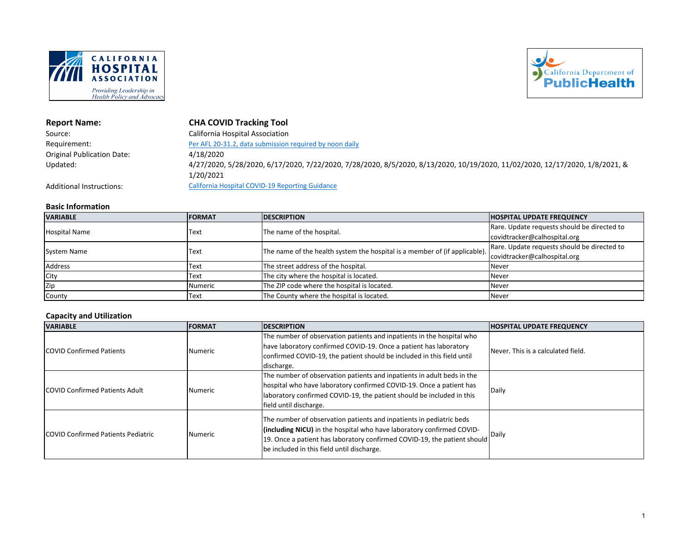



**Report Name: CHA COVID Tracking Tool**

| Source:                           | California Hospital Association                                                                                             |
|-----------------------------------|-----------------------------------------------------------------------------------------------------------------------------|
| Requirement:                      | Per AFL 20-31.2, data submission required by noon daily                                                                     |
| <b>Original Publication Date:</b> | 4/18/2020                                                                                                                   |
| Updated:                          | 4/27/2020, 5/28/2020, 6/17/2020, 7/22/2020, 7/28/2020, 8/5/2020, 8/13/2020, 10/19/2020, 11/02/2020, 12/17/2020, 1/8/2021, & |
|                                   | 1/20/2021                                                                                                                   |
| Additional Instructions:          | California Hospital COVID-19 Reporting Guidance                                                                             |

### **Basic Information**

| <b>VARIABLE</b>      | <b>FORMAT</b> | <b>DESCRIPTION</b>                                                         | HOSPITAL UPDATE FREQUENCY                   |
|----------------------|---------------|----------------------------------------------------------------------------|---------------------------------------------|
| <b>Hospital Name</b> | Text          | The name of the hospital.                                                  | Rare. Update requests should be directed to |
|                      |               |                                                                            | covidtracker@calhospital.org                |
|                      |               | The name of the health system the hospital is a member of (if applicable). | Rare. Update requests should be directed to |
| <b>System Name</b>   | <b>Text</b>   |                                                                            | covidtracker@calhospital.org                |
| Address              | Text          | The street address of the hospital.                                        | <b>Never</b>                                |
| City                 | Text          | The city where the hospital is located.                                    | <b>Never</b>                                |
| Zip                  | Numeric       | The ZIP code where the hospital is located.                                | <b>Never</b>                                |
| County               | Text          | The County where the hospital is located.                                  | <b>Never</b>                                |

# **Capacity and Utilization**

| <b>VARIABLE</b>                            | <b>FORMAT</b> | <b>IDESCRIPTION</b>                                                                                                                                                                                                                                                      | <b>HOSPITAL UPDATE FREQUENCY</b>    |
|--------------------------------------------|---------------|--------------------------------------------------------------------------------------------------------------------------------------------------------------------------------------------------------------------------------------------------------------------------|-------------------------------------|
| <b>COVID Confirmed Patients</b>            | Numeric       | The number of observation patients and inpatients in the hospital who<br>have laboratory confirmed COVID-19. Once a patient has laboratory<br>confirmed COVID-19, the patient should be included in this field until<br>discharge.                                       | INever. This is a calculated field. |
| <b>COVID Confirmed Patients Adult</b>      | Numeric       | The number of observation patients and inpatients in adult beds in the<br>hospital who have laboratory confirmed COVID-19. Once a patient has<br>laboratory confirmed COVID-19, the patient should be included in this<br>field until discharge.                         | Daily                               |
| <b>ICOVID Confirmed Patients Pediatric</b> | Numeric       | The number of observation patients and inpatients in pediatric beds<br>(including NICU) in the hospital who have laboratory confirmed COVID-<br>[19. Once a patient has laboratory confirmed COVID-19, the patient should]<br>be included in this field until discharge. | <b>Daily</b>                        |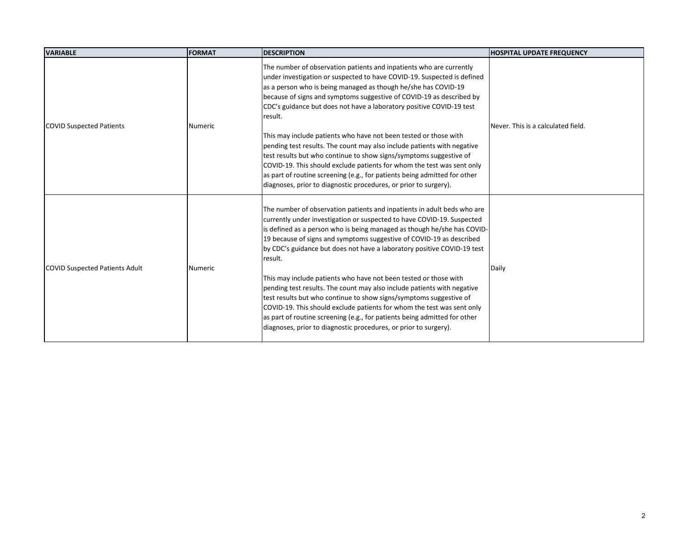| <b>VARIABLE</b>                       | <b>FORMAT</b>  | <b>DESCRIPTION</b>                                                                                                                                                                                                                                                                                                                                                                                                                                                                                                                                                                                                                                                                                                                                                                                                                         | <b>HOSPITAL UPDATE FREQUENCY</b>   |
|---------------------------------------|----------------|--------------------------------------------------------------------------------------------------------------------------------------------------------------------------------------------------------------------------------------------------------------------------------------------------------------------------------------------------------------------------------------------------------------------------------------------------------------------------------------------------------------------------------------------------------------------------------------------------------------------------------------------------------------------------------------------------------------------------------------------------------------------------------------------------------------------------------------------|------------------------------------|
| <b>COVID Suspected Patients</b>       | Numeric        | The number of observation patients and inpatients who are currently<br>under investigation or suspected to have COVID-19. Suspected is defined<br>as a person who is being managed as though he/she has COVID-19<br>because of signs and symptoms suggestive of COVID-19 as described by<br>CDC's guidance but does not have a laboratory positive COVID-19 test<br>result.<br>This may include patients who have not been tested or those with<br>pending test results. The count may also include patients with negative<br>test results but who continue to show signs/symptoms suggestive of<br>COVID-19. This should exclude patients for whom the test was sent only<br>as part of routine screening (e.g., for patients being admitted for other<br>diagnoses, prior to diagnostic procedures, or prior to surgery).                | Never. This is a calculated field. |
| <b>COVID Suspected Patients Adult</b> | <b>Numeric</b> | The number of observation patients and inpatients in adult beds who are<br>currently under investigation or suspected to have COVID-19. Suspected<br>is defined as a person who is being managed as though he/she has COVID-<br>19 because of signs and symptoms suggestive of COVID-19 as described<br>by CDC's guidance but does not have a laboratory positive COVID-19 test<br>result.<br>This may include patients who have not been tested or those with<br>pending test results. The count may also include patients with negative<br>test results but who continue to show signs/symptoms suggestive of<br>COVID-19. This should exclude patients for whom the test was sent only<br>as part of routine screening (e.g., for patients being admitted for other<br>diagnoses, prior to diagnostic procedures, or prior to surgery). | Daily                              |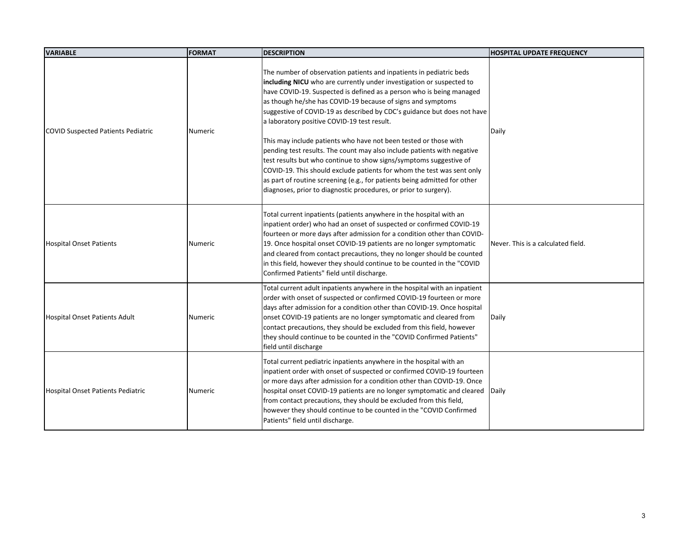| <b>VARIABLE</b>                           | <b>FORMAT</b>  | <b>DESCRIPTION</b>                                                                                                                                                                                                                                                                                                                                                                                                                                                                                                                                                                                                                                                                                                                                                                                                                                           | <b>HOSPITAL UPDATE FREQUENCY</b>   |
|-------------------------------------------|----------------|--------------------------------------------------------------------------------------------------------------------------------------------------------------------------------------------------------------------------------------------------------------------------------------------------------------------------------------------------------------------------------------------------------------------------------------------------------------------------------------------------------------------------------------------------------------------------------------------------------------------------------------------------------------------------------------------------------------------------------------------------------------------------------------------------------------------------------------------------------------|------------------------------------|
| <b>COVID Suspected Patients Pediatric</b> | <b>Numeric</b> | The number of observation patients and inpatients in pediatric beds<br>including NICU who are currently under investigation or suspected to<br>have COVID-19. Suspected is defined as a person who is being managed<br>as though he/she has COVID-19 because of signs and symptoms<br>suggestive of COVID-19 as described by CDC's guidance but does not have<br>a laboratory positive COVID-19 test result.<br>This may include patients who have not been tested or those with<br>pending test results. The count may also include patients with negative<br>test results but who continue to show signs/symptoms suggestive of<br>COVID-19. This should exclude patients for whom the test was sent only<br>as part of routine screening (e.g., for patients being admitted for other<br>diagnoses, prior to diagnostic procedures, or prior to surgery). | Daily                              |
| <b>Hospital Onset Patients</b>            | <b>Numeric</b> | Total current inpatients (patients anywhere in the hospital with an<br>inpatient order) who had an onset of suspected or confirmed COVID-19<br>fourteen or more days after admission for a condition other than COVID-<br>19. Once hospital onset COVID-19 patients are no longer symptomatic<br>and cleared from contact precautions, they no longer should be counted<br>in this field, however they should continue to be counted in the "COVID<br>Confirmed Patients" field until discharge.                                                                                                                                                                                                                                                                                                                                                             | Never. This is a calculated field. |
| <b>Hospital Onset Patients Adult</b>      | <b>Numeric</b> | Total current adult inpatients anywhere in the hospital with an inpatient<br>order with onset of suspected or confirmed COVID-19 fourteen or more<br>days after admission for a condition other than COVID-19. Once hospital<br>onset COVID-19 patients are no longer symptomatic and cleared from<br>contact precautions, they should be excluded from this field, however<br>they should continue to be counted in the "COVID Confirmed Patients"<br>field until discharge                                                                                                                                                                                                                                                                                                                                                                                 | Daily                              |
| <b>Hospital Onset Patients Pediatric</b>  | Numeric        | Total current pediatric inpatients anywhere in the hospital with an<br>inpatient order with onset of suspected or confirmed COVID-19 fourteen<br>or more days after admission for a condition other than COVID-19. Once<br>hospital onset COVID-19 patients are no longer symptomatic and cleared  Daily<br>from contact precautions, they should be excluded from this field,<br>however they should continue to be counted in the "COVID Confirmed<br>Patients" field until discharge.                                                                                                                                                                                                                                                                                                                                                                     |                                    |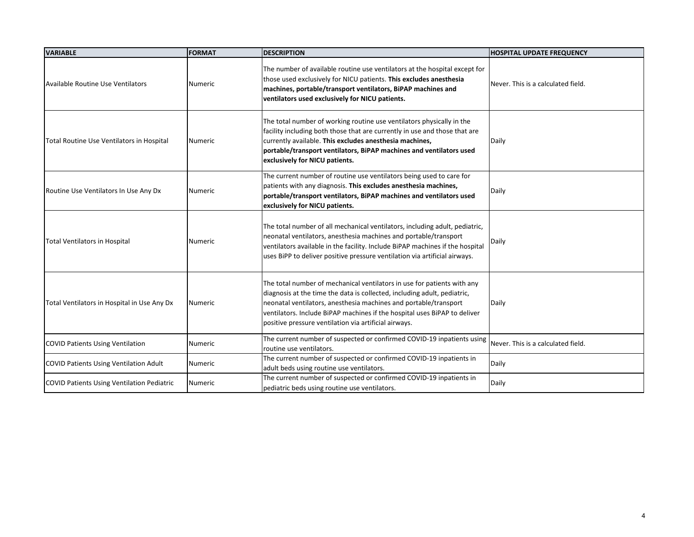| <b>VARIABLE</b>                               | <b>FORMAT</b>  | <b>DESCRIPTION</b>                                                                                                                                                                                                                                                                                                                                            | <b>HOSPITAL UPDATE FREQUENCY</b>   |
|-----------------------------------------------|----------------|---------------------------------------------------------------------------------------------------------------------------------------------------------------------------------------------------------------------------------------------------------------------------------------------------------------------------------------------------------------|------------------------------------|
| Available Routine Use Ventilators             | Numeric        | The number of available routine use ventilators at the hospital except for<br>those used exclusively for NICU patients. This excludes anesthesia<br>machines, portable/transport ventilators, BiPAP machines and<br>ventilators used exclusively for NICU patients.                                                                                           | Never. This is a calculated field. |
| Total Routine Use Ventilators in Hospital     | <b>Numeric</b> | The total number of working routine use ventilators physically in the<br>facility including both those that are currently in use and those that are<br>currently available. This excludes anesthesia machines,<br>portable/transport ventilators, BiPAP machines and ventilators used<br>exclusively for NICU patients.                                       | Daily                              |
| Routine Use Ventilators In Use Any Dx         | Numeric        | The current number of routine use ventilators being used to care for<br>patients with any diagnosis. This excludes anesthesia machines,<br>portable/transport ventilators, BiPAP machines and ventilators used<br>exclusively for NICU patients.                                                                                                              | Daily                              |
| <b>Total Ventilators in Hospital</b>          | Numeric        | The total number of all mechanical ventilators, including adult, pediatric,<br>neonatal ventilators, anesthesia machines and portable/transport<br>ventilators available in the facility. Include BiPAP machines if the hospital<br>uses BiPP to deliver positive pressure ventilation via artificial airways.                                                | Daily                              |
| Total Ventilators in Hospital in Use Any Dx   | <b>Numeric</b> | The total number of mechanical ventilators in use for patients with any<br>diagnosis at the time the data is collected, including adult, pediatric,<br>neonatal ventilators, anesthesia machines and portable/transport<br>ventilators. Include BiPAP machines if the hospital uses BiPAP to deliver<br>positive pressure ventilation via artificial airways. | Daily                              |
| <b>COVID Patients Using Ventilation</b>       | Numeric        | The current number of suspected or confirmed COVID-19 inpatients using<br>routine use ventilators.                                                                                                                                                                                                                                                            | Never. This is a calculated field. |
| <b>COVID Patients Using Ventilation Adult</b> | Numeric        | The current number of suspected or confirmed COVID-19 inpatients in<br>adult beds using routine use ventilators.                                                                                                                                                                                                                                              | Daily                              |
| COVID Patients Using Ventilation Pediatric    | Numeric        | The current number of suspected or confirmed COVID-19 inpatients in<br>pediatric beds using routine use ventilators.                                                                                                                                                                                                                                          | Daily                              |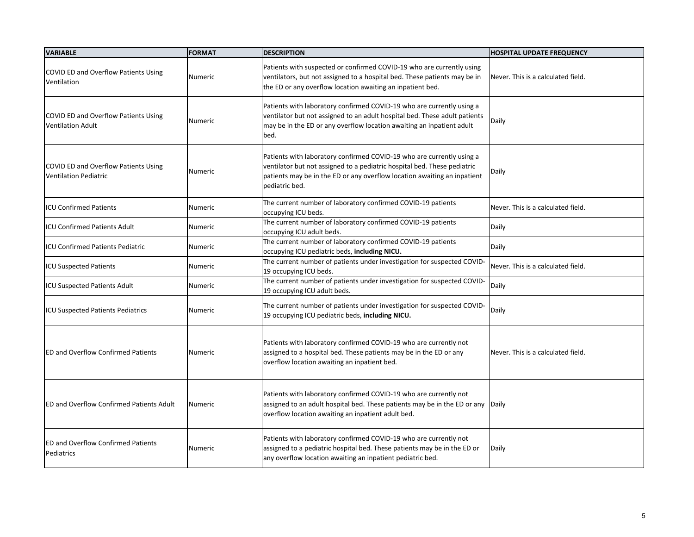| <b>VARIABLE</b>                                                         | <b>FORMAT</b>  | <b>DESCRIPTION</b>                                                                                                                                                                                                                              | <b>HOSPITAL UPDATE FREQUENCY</b>   |
|-------------------------------------------------------------------------|----------------|-------------------------------------------------------------------------------------------------------------------------------------------------------------------------------------------------------------------------------------------------|------------------------------------|
| COVID ED and Overflow Patients Using<br>Ventilation                     | Numeric        | Patients with suspected or confirmed COVID-19 who are currently using<br>ventilators, but not assigned to a hospital bed. These patients may be in<br>the ED or any overflow location awaiting an inpatient bed.                                | Never. This is a calculated field. |
| <b>COVID ED and Overflow Patients Using</b><br><b>Ventilation Adult</b> | Numeric        | Patients with laboratory confirmed COVID-19 who are currently using a<br>ventilator but not assigned to an adult hospital bed. These adult patients<br>may be in the ED or any overflow location awaiting an inpatient adult<br>bed.            | Daily                              |
| COVID ED and Overflow Patients Using<br><b>Ventilation Pediatric</b>    | <b>Numeric</b> | Patients with laboratory confirmed COVID-19 who are currently using a<br>ventilator but not assigned to a pediatric hospital bed. These pediatric<br>patients may be in the ED or any overflow location awaiting an inpatient<br>pediatric bed. | Daily                              |
| <b>ICU Confirmed Patients</b>                                           | <b>Numeric</b> | The current number of laboratory confirmed COVID-19 patients<br>occupying ICU beds.                                                                                                                                                             | Never. This is a calculated field. |
| <b>ICU Confirmed Patients Adult</b>                                     | <b>Numeric</b> | The current number of laboratory confirmed COVID-19 patients<br>occupying ICU adult beds.                                                                                                                                                       | Daily                              |
| <b>ICU Confirmed Patients Pediatric</b>                                 | <b>Numeric</b> | The current number of laboratory confirmed COVID-19 patients<br>occupying ICU pediatric beds, including NICU.                                                                                                                                   | <b>Daily</b>                       |
| <b>ICU Suspected Patients</b>                                           | <b>Numeric</b> | The current number of patients under investigation for suspected COVID-<br>19 occupying ICU beds.                                                                                                                                               | Never. This is a calculated field. |
| <b>ICU Suspected Patients Adult</b>                                     | Numeric        | The current number of patients under investigation for suspected COVID-<br>19 occupying ICU adult beds.                                                                                                                                         | <b>Daily</b>                       |
| <b>ICU Suspected Patients Pediatrics</b>                                | Numeric        | The current number of patients under investigation for suspected COVID-<br>19 occupying ICU pediatric beds, including NICU.                                                                                                                     | Daily                              |
| <b>ED and Overflow Confirmed Patients</b>                               | Numeric        | Patients with laboratory confirmed COVID-19 who are currently not<br>assigned to a hospital bed. These patients may be in the ED or any<br>overflow location awaiting an inpatient bed.                                                         | Never. This is a calculated field. |
| <b>ED and Overflow Confirmed Patients Adult</b>                         | Numeric        | Patients with laboratory confirmed COVID-19 who are currently not<br>assigned to an adult hospital bed. These patients may be in the ED or any Daily<br>overflow location awaiting an inpatient adult bed.                                      |                                    |
| <b>ED and Overflow Confirmed Patients</b><br>Pediatrics                 | <b>Numeric</b> | Patients with laboratory confirmed COVID-19 who are currently not<br>assigned to a pediatric hospital bed. These patients may be in the ED or<br>any overflow location awaiting an inpatient pediatric bed.                                     | Daily                              |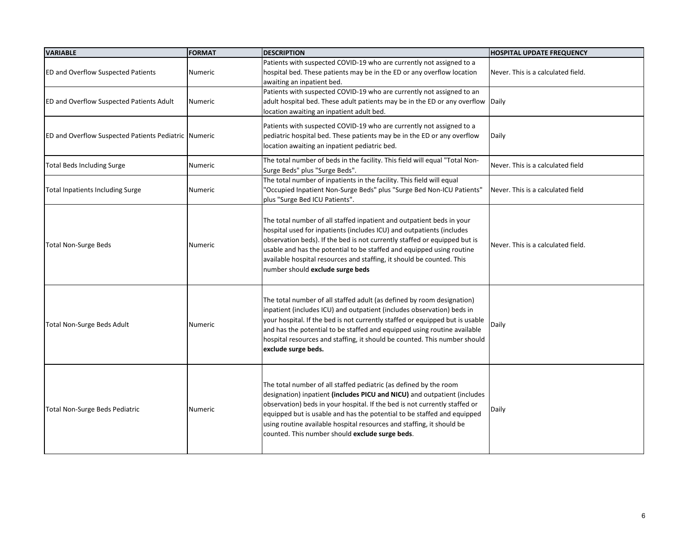| <b>VARIABLE</b>                                             | <b>FORMAT</b>  | <b>DESCRIPTION</b>                                                                                                                                                                                                                                                                                                                                                                                                                 | <b>HOSPITAL UPDATE FREQUENCY</b>   |
|-------------------------------------------------------------|----------------|------------------------------------------------------------------------------------------------------------------------------------------------------------------------------------------------------------------------------------------------------------------------------------------------------------------------------------------------------------------------------------------------------------------------------------|------------------------------------|
| <b>ED and Overflow Suspected Patients</b>                   | Numeric        | Patients with suspected COVID-19 who are currently not assigned to a<br>hospital bed. These patients may be in the ED or any overflow location<br>awaiting an inpatient bed.                                                                                                                                                                                                                                                       | Never. This is a calculated field. |
| <b>ED and Overflow Suspected Patients Adult</b>             | <b>Numeric</b> | Patients with suspected COVID-19 who are currently not assigned to an<br>adult hospital bed. These adult patients may be in the ED or any overflow Daily<br>location awaiting an inpatient adult bed.                                                                                                                                                                                                                              |                                    |
| <b>ED and Overflow Suspected Patients Pediatric Numeric</b> |                | Patients with suspected COVID-19 who are currently not assigned to a<br>pediatric hospital bed. These patients may be in the ED or any overflow<br>location awaiting an inpatient pediatric bed.                                                                                                                                                                                                                                   | Daily                              |
| <b>Total Beds Including Surge</b>                           | Numeric        | The total number of beds in the facility. This field will equal "Total Non-<br>Surge Beds" plus "Surge Beds".                                                                                                                                                                                                                                                                                                                      | Never. This is a calculated field  |
| <b>Total Inpatients Including Surge</b>                     | <b>Numeric</b> | The total number of inpatients in the facility. This field will equal<br>'Occupied Inpatient Non-Surge Beds" plus "Surge Bed Non-ICU Patients"<br>plus "Surge Bed ICU Patients".                                                                                                                                                                                                                                                   | Never. This is a calculated field  |
| <b>Total Non-Surge Beds</b>                                 | <b>Numeric</b> | The total number of all staffed inpatient and outpatient beds in your<br>hospital used for inpatients (includes ICU) and outpatients (includes<br>observation beds). If the bed is not currently staffed or equipped but is<br>usable and has the potential to be staffed and equipped using routine<br>available hospital resources and staffing, it should be counted. This<br>number should exclude surge beds                  | Never. This is a calculated field. |
| <b>Total Non-Surge Beds Adult</b>                           | <b>Numeric</b> | The total number of all staffed adult (as defined by room designation)<br>inpatient (includes ICU) and outpatient (includes observation) beds in<br>your hospital. If the bed is not currently staffed or equipped but is usable<br>and has the potential to be staffed and equipped using routine available<br>hospital resources and staffing, it should be counted. This number should<br>exclude surge beds.                   | Daily                              |
| <b>Total Non-Surge Beds Pediatric</b>                       | <b>Numeric</b> | The total number of all staffed pediatric (as defined by the room<br>designation) inpatient (includes PICU and NICU) and outpatient (includes<br>observation) beds in your hospital. If the bed is not currently staffed or<br>equipped but is usable and has the potential to be staffed and equipped<br>using routine available hospital resources and staffing, it should be<br>counted. This number should exclude surge beds. | Daily                              |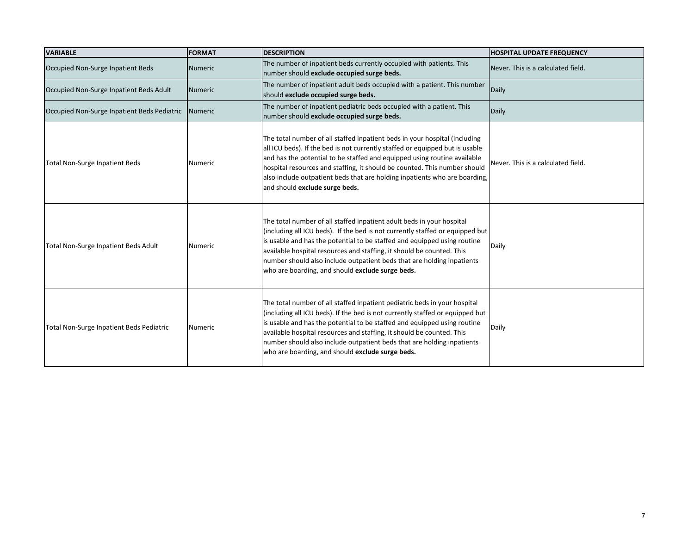| <b>VARIABLE</b>                                     | <b>FORMAT</b>   | <b>DESCRIPTION</b>                                                                                                                                                                                                                                                                                                                                                                                                                            | <b>HOSPITAL UPDATE FREQUENCY</b>   |
|-----------------------------------------------------|-----------------|-----------------------------------------------------------------------------------------------------------------------------------------------------------------------------------------------------------------------------------------------------------------------------------------------------------------------------------------------------------------------------------------------------------------------------------------------|------------------------------------|
| Occupied Non-Surge Inpatient Beds                   | l Numeric       | The number of inpatient beds currently occupied with patients. This<br>number should exclude occupied surge beds.                                                                                                                                                                                                                                                                                                                             | Never. This is a calculated field. |
| Occupied Non-Surge Inpatient Beds Adult             | Numeric         | The number of inpatient adult beds occupied with a patient. This number<br>should exclude occupied surge beds.                                                                                                                                                                                                                                                                                                                                | Daily                              |
| Occupied Non-Surge Inpatient Beds Pediatric Numeric |                 | The number of inpatient pediatric beds occupied with a patient. This<br>number should exclude occupied surge beds.                                                                                                                                                                                                                                                                                                                            | Daily                              |
| <b>Total Non-Surge Inpatient Beds</b>               | <b>Numeric</b>  | The total number of all staffed inpatient beds in your hospital (including<br>all ICU beds). If the bed is not currently staffed or equipped but is usable<br>and has the potential to be staffed and equipped using routine available<br>hospital resources and staffing, it should be counted. This number should<br>also include outpatient beds that are holding inpatients who are boarding,<br>and should exclude surge beds.           | Never. This is a calculated field. |
| Total Non-Surge Inpatient Beds Adult                | l Numeric       | The total number of all staffed inpatient adult beds in your hospital<br>(including all ICU beds). If the bed is not currently staffed or equipped but<br>is usable and has the potential to be staffed and equipped using routine<br>available hospital resources and staffing, it should be counted. This<br>number should also include outpatient beds that are holding inpatients<br>who are boarding, and should exclude surge beds.     | Daily                              |
| <b>Total Non-Surge Inpatient Beds Pediatric</b>     | <b>N</b> umeric | The total number of all staffed inpatient pediatric beds in your hospital<br>(including all ICU beds). If the bed is not currently staffed or equipped but<br>is usable and has the potential to be staffed and equipped using routine<br>available hospital resources and staffing, it should be counted. This<br>number should also include outpatient beds that are holding inpatients<br>who are boarding, and should exclude surge beds. | Daily                              |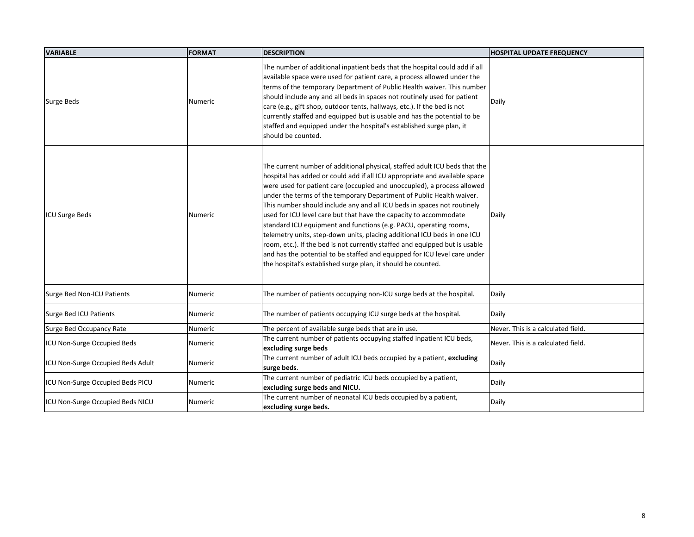| <b>VARIABLE</b>                    | <b>FORMAT</b>  | <b>DESCRIPTION</b>                                                                                                                                                                                                                                                                                                                                                                                                                                                                                                                                                                                                                                                                                                                                                                                                                       | <b>HOSPITAL UPDATE FREQUENCY</b>   |
|------------------------------------|----------------|------------------------------------------------------------------------------------------------------------------------------------------------------------------------------------------------------------------------------------------------------------------------------------------------------------------------------------------------------------------------------------------------------------------------------------------------------------------------------------------------------------------------------------------------------------------------------------------------------------------------------------------------------------------------------------------------------------------------------------------------------------------------------------------------------------------------------------------|------------------------------------|
| Surge Beds                         | <b>Numeric</b> | The number of additional inpatient beds that the hospital could add if all<br>available space were used for patient care, a process allowed under the<br>terms of the temporary Department of Public Health waiver. This number<br>should include any and all beds in spaces not routinely used for patient<br>care (e.g., gift shop, outdoor tents, hallways, etc.). If the bed is not<br>currently staffed and equipped but is usable and has the potential to be<br>staffed and equipped under the hospital's established surge plan, it<br>should be counted.                                                                                                                                                                                                                                                                        | Daily                              |
| <b>ICU Surge Beds</b>              | <b>Numeric</b> | The current number of additional physical, staffed adult ICU beds that the<br>hospital has added or could add if all ICU appropriate and available space<br>were used for patient care (occupied and unoccupied), a process allowed<br>under the terms of the temporary Department of Public Health waiver.<br>This number should include any and all ICU beds in spaces not routinely<br>used for ICU level care but that have the capacity to accommodate<br>standard ICU equipment and functions (e.g. PACU, operating rooms,<br>telemetry units, step-down units, placing additional ICU beds in one ICU<br>room, etc.). If the bed is not currently staffed and equipped but is usable<br>and has the potential to be staffed and equipped for ICU level care under<br>the hospital's established surge plan, it should be counted. | Daily                              |
| Surge Bed Non-ICU Patients         | <b>Numeric</b> | The number of patients occupying non-ICU surge beds at the hospital.                                                                                                                                                                                                                                                                                                                                                                                                                                                                                                                                                                                                                                                                                                                                                                     | Daily                              |
| Surge Bed ICU Patients             | Numeric        | The number of patients occupying ICU surge beds at the hospital.                                                                                                                                                                                                                                                                                                                                                                                                                                                                                                                                                                                                                                                                                                                                                                         | Daily                              |
| Surge Bed Occupancy Rate           | Numeric        | The percent of available surge beds that are in use.                                                                                                                                                                                                                                                                                                                                                                                                                                                                                                                                                                                                                                                                                                                                                                                     | Never. This is a calculated field. |
| <b>ICU Non-Surge Occupied Beds</b> | Numeric        | The current number of patients occupying staffed inpatient ICU beds,<br>excluding surge beds                                                                                                                                                                                                                                                                                                                                                                                                                                                                                                                                                                                                                                                                                                                                             | Never. This is a calculated field. |
| ICU Non-Surge Occupied Beds Adult  | Numeric        | The current number of adult ICU beds occupied by a patient, excluding<br>surge beds.                                                                                                                                                                                                                                                                                                                                                                                                                                                                                                                                                                                                                                                                                                                                                     | Daily                              |
| ICU Non-Surge Occupied Beds PICU   | Numeric        | The current number of pediatric ICU beds occupied by a patient,<br>excluding surge beds and NICU.                                                                                                                                                                                                                                                                                                                                                                                                                                                                                                                                                                                                                                                                                                                                        | Daily                              |
| ICU Non-Surge Occupied Beds NICU   | Numeric        | The current number of neonatal ICU beds occupied by a patient,<br>excluding surge beds.                                                                                                                                                                                                                                                                                                                                                                                                                                                                                                                                                                                                                                                                                                                                                  | Daily                              |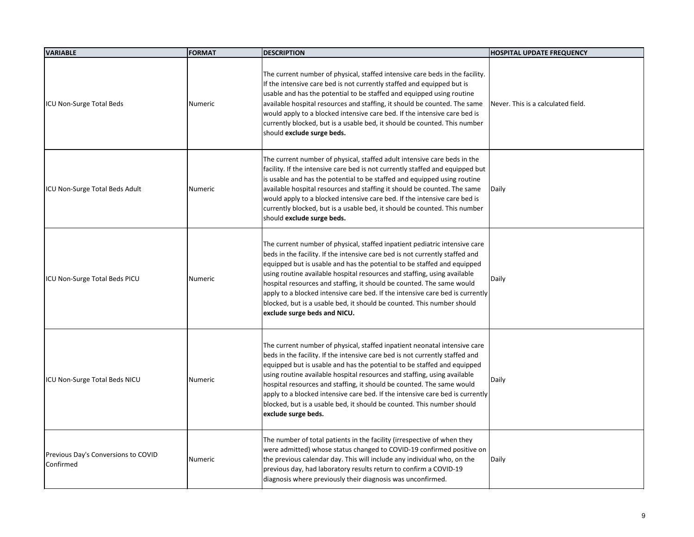| <b>VARIABLE</b>                                  | <b>FORMAT</b>  | <b>DESCRIPTION</b>                                                                                                                                                                                                                                                                                                                                                                                                                                                                                                                                                                    | <b>HOSPITAL UPDATE FREQUENCY</b>   |
|--------------------------------------------------|----------------|---------------------------------------------------------------------------------------------------------------------------------------------------------------------------------------------------------------------------------------------------------------------------------------------------------------------------------------------------------------------------------------------------------------------------------------------------------------------------------------------------------------------------------------------------------------------------------------|------------------------------------|
| ICU Non-Surge Total Beds                         | <b>Numeric</b> | The current number of physical, staffed intensive care beds in the facility.<br>If the intensive care bed is not currently staffed and equipped but is<br>usable and has the potential to be staffed and equipped using routine<br>available hospital resources and staffing, it should be counted. The same<br>would apply to a blocked intensive care bed. If the intensive care bed is<br>currently blocked, but is a usable bed, it should be counted. This number<br>should exclude surge beds.                                                                                  | Never. This is a calculated field. |
| ICU Non-Surge Total Beds Adult                   | <b>Numeric</b> | The current number of physical, staffed adult intensive care beds in the<br>facility. If the intensive care bed is not currently staffed and equipped but<br>is usable and has the potential to be staffed and equipped using routine<br>available hospital resources and staffing it should be counted. The same<br>would apply to a blocked intensive care bed. If the intensive care bed is<br>currently blocked, but is a usable bed, it should be counted. This number<br>should exclude surge beds.                                                                             | Daily                              |
| ICU Non-Surge Total Beds PICU                    | Numeric        | The current number of physical, staffed inpatient pediatric intensive care<br>beds in the facility. If the intensive care bed is not currently staffed and<br>equipped but is usable and has the potential to be staffed and equipped<br>using routine available hospital resources and staffing, using available<br>hospital resources and staffing, it should be counted. The same would<br>apply to a blocked intensive care bed. If the intensive care bed is currently<br>blocked, but is a usable bed, it should be counted. This number should<br>exclude surge beds and NICU. | Daily                              |
| ICU Non-Surge Total Beds NICU                    | Numeric        | The current number of physical, staffed inpatient neonatal intensive care<br>beds in the facility. If the intensive care bed is not currently staffed and<br>equipped but is usable and has the potential to be staffed and equipped<br>using routine available hospital resources and staffing, using available<br>hospital resources and staffing, it should be counted. The same would<br>apply to a blocked intensive care bed. If the intensive care bed is currently<br>blocked, but is a usable bed, it should be counted. This number should<br>exclude surge beds.           | Daily                              |
| Previous Day's Conversions to COVID<br>Confirmed | <b>Numeric</b> | The number of total patients in the facility (irrespective of when they<br>were admitted) whose status changed to COVID-19 confirmed positive on<br>the previous calendar day. This will include any individual who, on the<br>previous day, had laboratory results return to confirm a COVID-19<br>diagnosis where previously their diagnosis was unconfirmed.                                                                                                                                                                                                                       | Daily                              |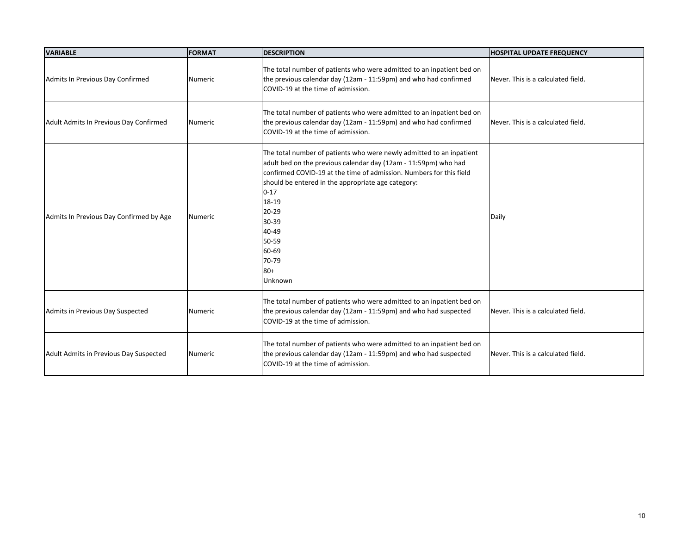| <b>VARIABLE</b>                         | <b>FORMAT</b> | <b>DESCRIPTION</b>                                                                                                                                                                                                                                                                                                                                                | <b>HOSPITAL UPDATE FREQUENCY</b>   |
|-----------------------------------------|---------------|-------------------------------------------------------------------------------------------------------------------------------------------------------------------------------------------------------------------------------------------------------------------------------------------------------------------------------------------------------------------|------------------------------------|
| Admits In Previous Day Confirmed        | Numeric       | The total number of patients who were admitted to an inpatient bed on<br>the previous calendar day (12am - 11:59pm) and who had confirmed<br>COVID-19 at the time of admission.                                                                                                                                                                                   | Never. This is a calculated field. |
| Adult Admits In Previous Day Confirmed  | Numeric       | The total number of patients who were admitted to an inpatient bed on<br>the previous calendar day (12am - 11:59pm) and who had confirmed<br>COVID-19 at the time of admission.                                                                                                                                                                                   | Never. This is a calculated field. |
| Admits In Previous Day Confirmed by Age | Numeric       | The total number of patients who were newly admitted to an inpatient<br>adult bed on the previous calendar day (12am - 11:59pm) who had<br>confirmed COVID-19 at the time of admission. Numbers for this field<br>should be entered in the appropriate age category:<br>$0 - 17$<br>18-19<br>20-29<br>30-39<br>40-49<br>50-59<br>60-69<br>70-79<br>80+<br>Unknown | Daily                              |
| Admits in Previous Day Suspected        | Numeric       | The total number of patients who were admitted to an inpatient bed on<br>the previous calendar day (12am - 11:59pm) and who had suspected<br>COVID-19 at the time of admission.                                                                                                                                                                                   | Never. This is a calculated field. |
| Adult Admits in Previous Day Suspected  | Numeric       | The total number of patients who were admitted to an inpatient bed on<br>the previous calendar day (12am - 11:59pm) and who had suspected<br>COVID-19 at the time of admission.                                                                                                                                                                                   | Never. This is a calculated field. |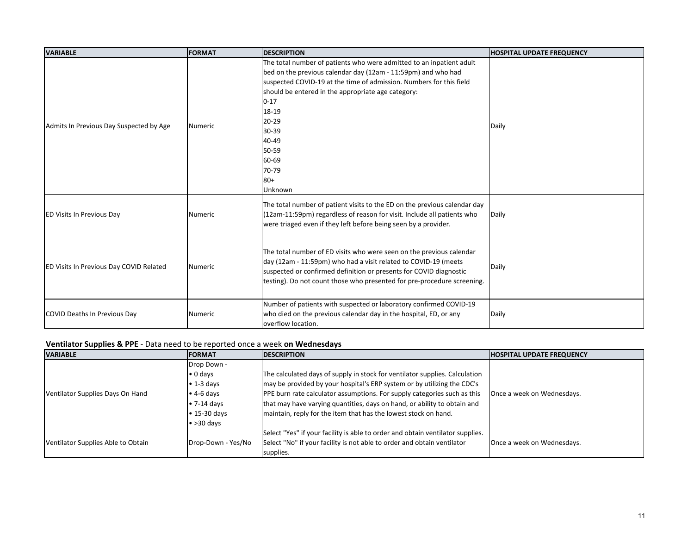| <b>VARIABLE</b>                                | <b>FORMAT</b> | <b>DESCRIPTION</b>                                                                                                                                                                                                                                                                                                                                                 | <b>HOSPITAL UPDATE FREQUENCY</b> |
|------------------------------------------------|---------------|--------------------------------------------------------------------------------------------------------------------------------------------------------------------------------------------------------------------------------------------------------------------------------------------------------------------------------------------------------------------|----------------------------------|
| Admits In Previous Day Suspected by Age        | Numeric       | The total number of patients who were admitted to an inpatient adult<br>bed on the previous calendar day (12am - 11:59pm) and who had<br>suspected COVID-19 at the time of admission. Numbers for this field<br>should be entered in the appropriate age category:<br>$0 - 17$<br>18-19<br>20-29<br>30-39<br>40-49<br>50-59<br>60-69<br>70-79<br>$80 +$<br>Unknown | Daily                            |
| <b>ED Visits In Previous Day</b>               | Numeric       | The total number of patient visits to the ED on the previous calendar day<br>(12am-11:59pm) regardless of reason for visit. Include all patients who<br>were triaged even if they left before being seen by a provider.                                                                                                                                            | Daily                            |
| <b>ED Visits In Previous Day COVID Related</b> | Numeric       | The total number of ED visits who were seen on the previous calendar<br>day (12am - 11:59pm) who had a visit related to COVID-19 (meets<br>suspected or confirmed definition or presents for COVID diagnostic<br>testing). Do not count those who presented for pre-procedure screening.                                                                           | Daily                            |
| <b>COVID Deaths In Previous Day</b>            | Numeric       | Number of patients with suspected or laboratory confirmed COVID-19<br>who died on the previous calendar day in the hospital, ED, or any<br>overflow location.                                                                                                                                                                                                      | <b>Daily</b>                     |

# **Ventilator Supplies & PPE** - Data need to be reported once a week **on Wednesdays**

| <b>VARIABLE</b>                    | <b>FORMAT</b>       | <b>DESCRIPTION</b>                                                             | <b>HOSPITAL UPDATE FREQUENCY</b> |
|------------------------------------|---------------------|--------------------------------------------------------------------------------|----------------------------------|
|                                    | Drop Down -         |                                                                                |                                  |
|                                    | $\bullet$ 0 days    | The calculated days of supply in stock for ventilator supplies. Calculation    |                                  |
|                                    | $\bullet$ 1-3 days  | may be provided by your hospital's ERP system or by utilizing the CDC's        |                                  |
| Ventilator Supplies Days On Hand   | $\bullet$ 4-6 days  | PPE burn rate calculator assumptions. For supply categories such as this       | Once a week on Wednesdays.       |
|                                    | $\bullet$ 7-14 days | that may have varying quantities, days on hand, or ability to obtain and       |                                  |
|                                    | $\cdot$ 15-30 days  | maintain, reply for the item that has the lowest stock on hand.                |                                  |
|                                    | $\bullet$ >30 days  |                                                                                |                                  |
|                                    |                     | Select "Yes" if your facility is able to order and obtain ventilator supplies. |                                  |
| Ventilator Supplies Able to Obtain | Drop-Down - Yes/No  | Select "No" if your facility is not able to order and obtain ventilator        | Once a week on Wednesdays.       |
|                                    |                     | supplies.                                                                      |                                  |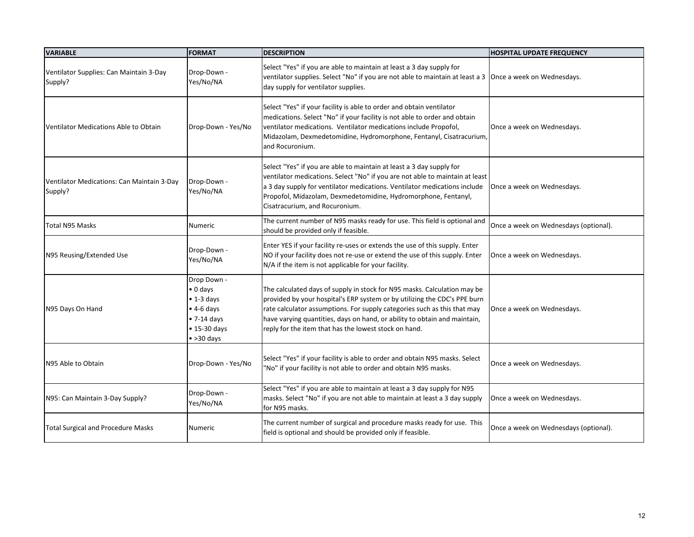| <b>VARIABLE</b>                                       | <b>FORMAT</b>                                                                                                                                    | <b>DESCRIPTION</b>                                                                                                                                                                                                                                                                                                                                                      | <b>HOSPITAL UPDATE FREQUENCY</b>      |
|-------------------------------------------------------|--------------------------------------------------------------------------------------------------------------------------------------------------|-------------------------------------------------------------------------------------------------------------------------------------------------------------------------------------------------------------------------------------------------------------------------------------------------------------------------------------------------------------------------|---------------------------------------|
| Ventilator Supplies: Can Maintain 3-Day<br>Supply?    | Drop-Down -<br>Yes/No/NA                                                                                                                         | Select "Yes" if you are able to maintain at least a 3 day supply for<br>ventilator supplies. Select "No" if you are not able to maintain at least a 3   Once a week on Wednesdays.<br>day supply for ventilator supplies.                                                                                                                                               |                                       |
| Ventilator Medications Able to Obtain                 | Drop-Down - Yes/No                                                                                                                               | Select "Yes" if your facility is able to order and obtain ventilator<br>medications. Select "No" if your facility is not able to order and obtain<br>ventilator medications. Ventilator medications include Propofol,<br>Midazolam, Dexmedetomidine, Hydromorphone, Fentanyl, Cisatracurium,<br>and Rocuronium.                                                         | Once a week on Wednesdays.            |
| Ventilator Medications: Can Maintain 3-Day<br>Supply? | Drop-Down -<br>Yes/No/NA                                                                                                                         | Select "Yes" if you are able to maintain at least a 3 day supply for<br>ventilator medications. Select "No" if you are not able to maintain at least<br>a 3 day supply for ventilator medications. Ventilator medications include<br>Propofol, Midazolam, Dexmedetomidine, Hydromorphone, Fentanyl,<br>Cisatracurium, and Rocuronium.                                   | Once a week on Wednesdays.            |
| <b>Total N95 Masks</b>                                | <b>Numeric</b>                                                                                                                                   | The current number of N95 masks ready for use. This field is optional and<br>should be provided only if feasible.                                                                                                                                                                                                                                                       | Once a week on Wednesdays (optional). |
| N95 Reusing/Extended Use                              | Drop-Down -<br>Yes/No/NA                                                                                                                         | Enter YES if your facility re-uses or extends the use of this supply. Enter<br>NO if your facility does not re-use or extend the use of this supply. Enter<br>N/A if the item is not applicable for your facility.                                                                                                                                                      | Once a week on Wednesdays.            |
| N95 Days On Hand                                      | Drop Down -<br>$\bullet$ 0 days<br>$\bullet$ 1-3 days<br>$\bullet$ 4-6 days<br>$\bullet$ 7-14 days<br>$\bullet$ 15-30 days<br>$\bullet$ >30 days | The calculated days of supply in stock for N95 masks. Calculation may be<br>provided by your hospital's ERP system or by utilizing the CDC's PPE burn<br>rate calculator assumptions. For supply categories such as this that may<br>have varying quantities, days on hand, or ability to obtain and maintain,<br>reply for the item that has the lowest stock on hand. | Once a week on Wednesdays.            |
| N95 Able to Obtain                                    | Drop-Down - Yes/No                                                                                                                               | Select "Yes" if your facility is able to order and obtain N95 masks. Select<br>"No" if your facility is not able to order and obtain N95 masks.                                                                                                                                                                                                                         | Once a week on Wednesdays.            |
| N95: Can Maintain 3-Day Supply?                       | Drop-Down -<br>Yes/No/NA                                                                                                                         | Select "Yes" if you are able to maintain at least a 3 day supply for N95<br>masks. Select "No" if you are not able to maintain at least a 3 day supply<br>for N95 masks.                                                                                                                                                                                                | Once a week on Wednesdays.            |
| <b>Total Surgical and Procedure Masks</b>             | <b>Numeric</b>                                                                                                                                   | The current number of surgical and procedure masks ready for use. This<br>field is optional and should be provided only if feasible.                                                                                                                                                                                                                                    | Once a week on Wednesdays (optional). |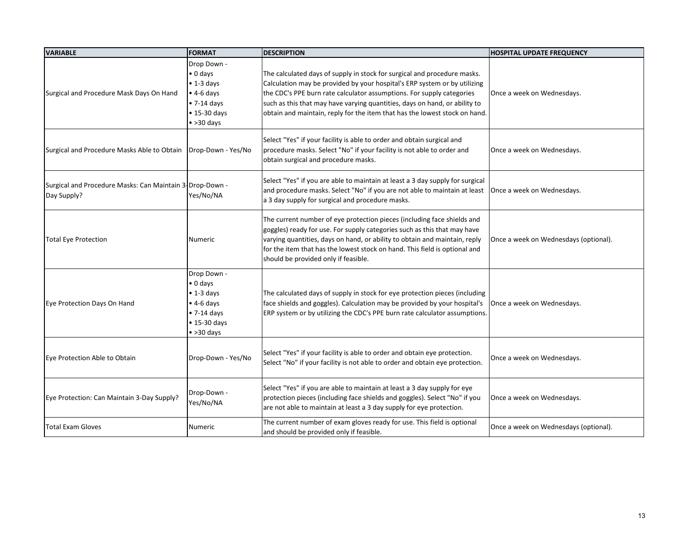| <b>VARIABLE</b>                                                          | <b>FORMAT</b>                                                                                                                                    | <b>DESCRIPTION</b>                                                                                                                                                                                                                                                                                                                                                                         | <b>HOSPITAL UPDATE FREQUENCY</b>      |
|--------------------------------------------------------------------------|--------------------------------------------------------------------------------------------------------------------------------------------------|--------------------------------------------------------------------------------------------------------------------------------------------------------------------------------------------------------------------------------------------------------------------------------------------------------------------------------------------------------------------------------------------|---------------------------------------|
| Surgical and Procedure Mask Days On Hand                                 | Drop Down -<br>$\bullet$ 0 days<br>$\bullet$ 1-3 days<br>$\bullet$ 4-6 days<br>$\bullet$ 7-14 days<br>$\bullet$ 15-30 days<br>$\bullet$ >30 days | The calculated days of supply in stock for surgical and procedure masks.<br>Calculation may be provided by your hospital's ERP system or by utilizing<br>the CDC's PPE burn rate calculator assumptions. For supply categories<br>such as this that may have varying quantities, days on hand, or ability to<br>obtain and maintain, reply for the item that has the lowest stock on hand. | Once a week on Wednesdays.            |
| Surgical and Procedure Masks Able to Obtain   Drop-Down - Yes/No         |                                                                                                                                                  | Select "Yes" if your facility is able to order and obtain surgical and<br>procedure masks. Select "No" if your facility is not able to order and<br>obtain surgical and procedure masks.                                                                                                                                                                                                   | Once a week on Wednesdays.            |
| Surgical and Procedure Masks: Can Maintain 3- Drop-Down -<br>Day Supply? | Yes/No/NA                                                                                                                                        | Select "Yes" if you are able to maintain at least a 3 day supply for surgical<br>and procedure masks. Select "No" if you are not able to maintain at least   Once a week on Wednesdays.<br>a 3 day supply for surgical and procedure masks.                                                                                                                                                |                                       |
| <b>Total Eye Protection</b>                                              | <b>Numeric</b>                                                                                                                                   | The current number of eye protection pieces (including face shields and<br>goggles) ready for use. For supply categories such as this that may have<br>varying quantities, days on hand, or ability to obtain and maintain, reply<br>for the item that has the lowest stock on hand. This field is optional and<br>should be provided only if feasible.                                    | Once a week on Wednesdays (optional). |
| Eye Protection Days On Hand                                              | Drop Down -<br>$\bullet$ 0 days<br>$\bullet$ 1-3 days<br>$\bullet$ 4-6 days<br>$\bullet$ 7-14 days<br>$\bullet$ 15-30 days<br>$\bullet$ >30 days | The calculated days of supply in stock for eye protection pieces (including<br>face shields and goggles). Calculation may be provided by your hospital's<br>ERP system or by utilizing the CDC's PPE burn rate calculator assumptions.                                                                                                                                                     | Once a week on Wednesdays.            |
| Eye Protection Able to Obtain                                            | Drop-Down - Yes/No                                                                                                                               | Select "Yes" if your facility is able to order and obtain eye protection.<br>Select "No" if your facility is not able to order and obtain eye protection.                                                                                                                                                                                                                                  | Once a week on Wednesdays.            |
| Eye Protection: Can Maintain 3-Day Supply?                               | Drop-Down -<br>Yes/No/NA                                                                                                                         | Select "Yes" if you are able to maintain at least a 3 day supply for eye<br>protection pieces (including face shields and goggles). Select "No" if you<br>are not able to maintain at least a 3 day supply for eye protection.                                                                                                                                                             | Once a week on Wednesdays.            |
| <b>Total Exam Gloves</b>                                                 | Numeric                                                                                                                                          | The current number of exam gloves ready for use. This field is optional<br>and should be provided only if feasible.                                                                                                                                                                                                                                                                        | Once a week on Wednesdays (optional). |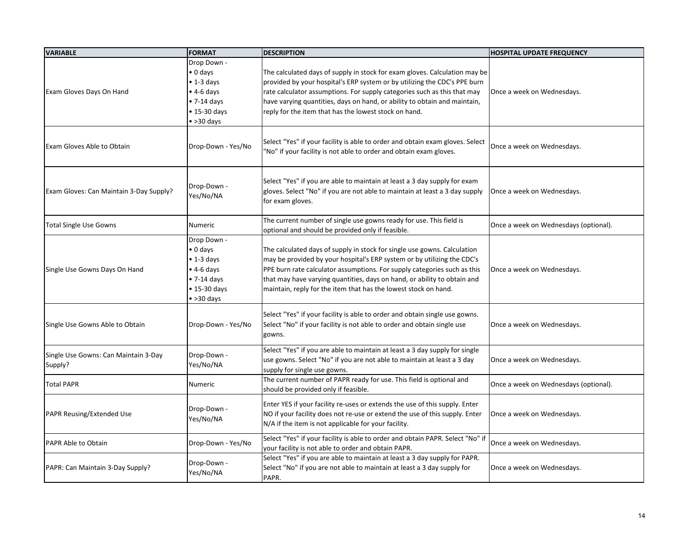| <b>VARIABLE</b>                                 | <b>FORMAT</b>                                                                                                                                    | <b>DESCRIPTION</b>                                                                                                                                                                                                                                                                                                                                                             | <b>HOSPITAL UPDATE FREQUENCY</b>      |
|-------------------------------------------------|--------------------------------------------------------------------------------------------------------------------------------------------------|--------------------------------------------------------------------------------------------------------------------------------------------------------------------------------------------------------------------------------------------------------------------------------------------------------------------------------------------------------------------------------|---------------------------------------|
| Exam Gloves Days On Hand                        | Drop Down -<br>$\bullet$ 0 days<br>$\bullet$ 1-3 days<br>$\bullet$ 4-6 days<br>$\bullet$ 7-14 days<br>$\bullet$ 15-30 days<br>$\bullet$ >30 days | The calculated days of supply in stock for exam gloves. Calculation may be<br>provided by your hospital's ERP system or by utilizing the CDC's PPE burn<br>rate calculator assumptions. For supply categories such as this that may<br>have varying quantities, days on hand, or ability to obtain and maintain,<br>reply for the item that has the lowest stock on hand.      | Once a week on Wednesdays.            |
| <b>Exam Gloves Able to Obtain</b>               | Drop-Down - Yes/No                                                                                                                               | Select "Yes" if your facility is able to order and obtain exam gloves. Select<br>"No" if your facility is not able to order and obtain exam gloves.                                                                                                                                                                                                                            | Once a week on Wednesdays.            |
| Exam Gloves: Can Maintain 3-Day Supply?         | Drop-Down -<br>Yes/No/NA                                                                                                                         | Select "Yes" if you are able to maintain at least a 3 day supply for exam<br>gloves. Select "No" if you are not able to maintain at least a 3 day supply<br>for exam gloves.                                                                                                                                                                                                   | Once a week on Wednesdays.            |
| <b>Total Single Use Gowns</b>                   | Numeric                                                                                                                                          | The current number of single use gowns ready for use. This field is<br>optional and should be provided only if feasible.                                                                                                                                                                                                                                                       | Once a week on Wednesdays (optional). |
| Single Use Gowns Days On Hand                   | Drop Down -<br>$\bullet$ 0 days<br>$\bullet$ 1-3 days<br>$\bullet$ 4-6 days<br>$\bullet$ 7-14 days<br>$\bullet$ 15-30 days<br>$\bullet$ >30 days | The calculated days of supply in stock for single use gowns. Calculation<br>may be provided by your hospital's ERP system or by utilizing the CDC's<br>PPE burn rate calculator assumptions. For supply categories such as this<br>that may have varying quantities, days on hand, or ability to obtain and<br>maintain, reply for the item that has the lowest stock on hand. | Once a week on Wednesdays.            |
| Single Use Gowns Able to Obtain                 | Drop-Down - Yes/No                                                                                                                               | Select "Yes" if your facility is able to order and obtain single use gowns.<br>Select "No" if your facility is not able to order and obtain single use<br>gowns.                                                                                                                                                                                                               | Once a week on Wednesdays.            |
| Single Use Gowns: Can Maintain 3-Day<br>Supply? | Drop-Down -<br>Yes/No/NA                                                                                                                         | Select "Yes" if you are able to maintain at least a 3 day supply for single<br>use gowns. Select "No" if you are not able to maintain at least a 3 day<br>supply for single use gowns.                                                                                                                                                                                         | Once a week on Wednesdays.            |
| <b>Total PAPR</b>                               | Numeric                                                                                                                                          | The current number of PAPR ready for use. This field is optional and<br>should be provided only if feasible.                                                                                                                                                                                                                                                                   | Once a week on Wednesdays (optional). |
| <b>PAPR Reusing/Extended Use</b>                | Drop-Down -<br>Yes/No/NA                                                                                                                         | Enter YES if your facility re-uses or extends the use of this supply. Enter<br>NO if your facility does not re-use or extend the use of this supply. Enter<br>N/A if the item is not applicable for your facility.                                                                                                                                                             | Once a week on Wednesdays.            |
| <b>PAPR Able to Obtain</b>                      | Drop-Down - Yes/No                                                                                                                               | Select "Yes" if your facility is able to order and obtain PAPR. Select "No" if<br>your facility is not able to order and obtain PAPR.                                                                                                                                                                                                                                          | Once a week on Wednesdays.            |
| PAPR: Can Maintain 3-Day Supply?                | Drop-Down -<br>Yes/No/NA                                                                                                                         | Select "Yes" if you are able to maintain at least a 3 day supply for PAPR.<br>Select "No" if you are not able to maintain at least a 3 day supply for<br>PAPR.                                                                                                                                                                                                                 | Once a week on Wednesdays.            |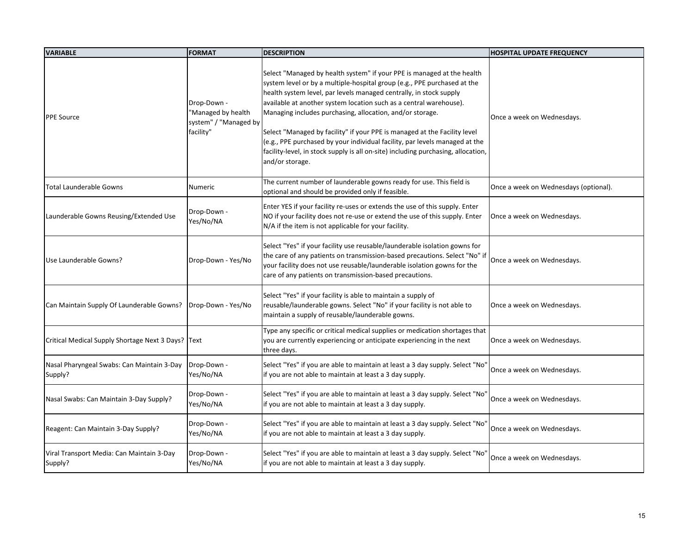| <b>VARIABLE</b>                                                | <b>FORMAT</b>                                                           | <b>DESCRIPTION</b>                                                                                                                                                                                                                                                                                                                                                                                                                                                                                                                                                                                                              | <b>HOSPITAL UPDATE FREQUENCY</b>      |
|----------------------------------------------------------------|-------------------------------------------------------------------------|---------------------------------------------------------------------------------------------------------------------------------------------------------------------------------------------------------------------------------------------------------------------------------------------------------------------------------------------------------------------------------------------------------------------------------------------------------------------------------------------------------------------------------------------------------------------------------------------------------------------------------|---------------------------------------|
| <b>PPE Source</b>                                              | Drop-Down -<br>"Managed by health<br>system" / "Managed by<br>facility" | Select "Managed by health system" if your PPE is managed at the health<br>system level or by a multiple-hospital group (e.g., PPE purchased at the<br>health system level, par levels managed centrally, in stock supply<br>available at another system location such as a central warehouse).<br>Managing includes purchasing, allocation, and/or storage.<br>Select "Managed by facility" if your PPE is managed at the Facility level<br>(e.g., PPE purchased by your individual facility, par levels managed at the<br>facility-level, in stock supply is all on-site) including purchasing, allocation,<br>and/or storage. | Once a week on Wednesdays.            |
| <b>Total Launderable Gowns</b>                                 | <b>Numeric</b>                                                          | The current number of launderable gowns ready for use. This field is<br>optional and should be provided only if feasible.                                                                                                                                                                                                                                                                                                                                                                                                                                                                                                       | Once a week on Wednesdays (optional). |
| Launderable Gowns Reusing/Extended Use                         | Drop-Down -<br>Yes/No/NA                                                | Enter YES if your facility re-uses or extends the use of this supply. Enter<br>NO if your facility does not re-use or extend the use of this supply. Enter<br>N/A if the item is not applicable for your facility.                                                                                                                                                                                                                                                                                                                                                                                                              | Once a week on Wednesdays.            |
| Use Launderable Gowns?                                         | Drop-Down - Yes/No                                                      | Select "Yes" if your facility use reusable/launderable isolation gowns for<br>the care of any patients on transmission-based precautions. Select "No" if<br>your facility does not use reusable/launderable isolation gowns for the<br>care of any patients on transmission-based precautions.                                                                                                                                                                                                                                                                                                                                  | Once a week on Wednesdays.            |
| Can Maintain Supply Of Launderable Gowns?   Drop-Down - Yes/No |                                                                         | Select "Yes" if your facility is able to maintain a supply of<br>reusable/launderable gowns. Select "No" if your facility is not able to<br>maintain a supply of reusable/launderable gowns.                                                                                                                                                                                                                                                                                                                                                                                                                                    | Once a week on Wednesdays.            |
| Critical Medical Supply Shortage Next 3 Days?   Text           |                                                                         | Type any specific or critical medical supplies or medication shortages that<br>you are currently experiencing or anticipate experiencing in the next<br>three days.                                                                                                                                                                                                                                                                                                                                                                                                                                                             | Once a week on Wednesdays.            |
| Nasal Pharyngeal Swabs: Can Maintain 3-Day<br>Supply?          | Drop-Down -<br>Yes/No/NA                                                | Select "Yes" if you are able to maintain at least a 3 day supply. Select "No'<br>if you are not able to maintain at least a 3 day supply.                                                                                                                                                                                                                                                                                                                                                                                                                                                                                       | Once a week on Wednesdays.            |
| Nasal Swabs: Can Maintain 3-Day Supply?                        | Drop-Down -<br>Yes/No/NA                                                | Select "Yes" if you are able to maintain at least a 3 day supply. Select "No'<br>if you are not able to maintain at least a 3 day supply.                                                                                                                                                                                                                                                                                                                                                                                                                                                                                       | Once a week on Wednesdays.            |
| Reagent: Can Maintain 3-Day Supply?                            | Drop-Down -<br>Yes/No/NA                                                | Select "Yes" if you are able to maintain at least a 3 day supply. Select "No'<br>if you are not able to maintain at least a 3 day supply.                                                                                                                                                                                                                                                                                                                                                                                                                                                                                       | Once a week on Wednesdays.            |
| Viral Transport Media: Can Maintain 3-Day<br>Supply?           | Drop-Down -<br>Yes/No/NA                                                | Select "Yes" if you are able to maintain at least a 3 day supply. Select "No'<br>if you are not able to maintain at least a 3 day supply.                                                                                                                                                                                                                                                                                                                                                                                                                                                                                       | Once a week on Wednesdays.            |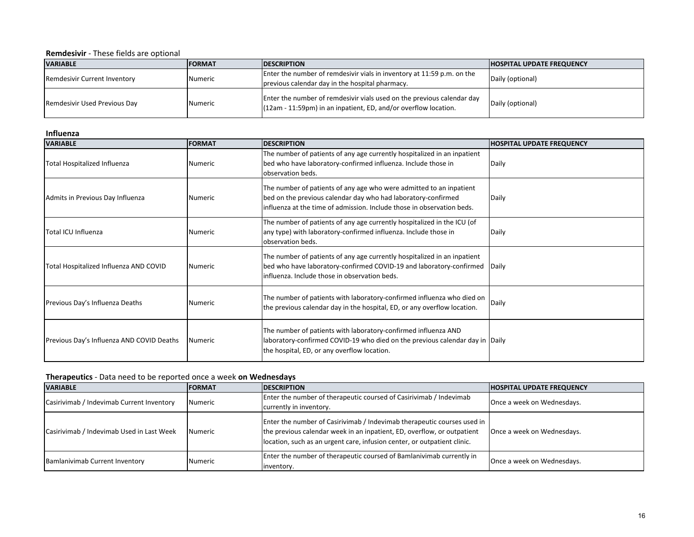**Remdesivir** - These fields are optional

| <b>VARIABLE</b>              | <b>IFORMAT</b> | <b>IDESCRIPTION</b>                                                                                                                         | <b>HOSPITAL UPDATE FREQUENCY</b> |
|------------------------------|----------------|---------------------------------------------------------------------------------------------------------------------------------------------|----------------------------------|
| Remdesivir Current Inventory | Numeric        | Enter the number of remdesivir vials in inventory at 11:59 p.m. on the<br>previous calendar day in the hospital pharmacy.                   | Daily (optional)                 |
| Remdesivir Used Previous Day | Numeric        | Enter the number of remdesivir vials used on the previous calendar day<br>$(12am - 11:59pm)$ in an inpatient, ED, and/or overflow location. | Daily (optional)                 |

#### **Influenza**

| <b>VARIABLE</b>                           | <b>FORMAT</b>  | <b>DESCRIPTION</b>                                                                                                                                                                                             | <b>HOSPITAL UPDATE FREQUENCY</b> |
|-------------------------------------------|----------------|----------------------------------------------------------------------------------------------------------------------------------------------------------------------------------------------------------------|----------------------------------|
| Total Hospitalized Influenza              | <b>Numeric</b> | The number of patients of any age currently hospitalized in an inpatient<br>bed who have laboratory-confirmed influenza. Include those in<br>lobservation beds.                                                | Daily                            |
| Admits in Previous Day Influenza          | Numeric        | The number of patients of any age who were admitted to an inpatient<br>bed on the previous calendar day who had laboratory-confirmed<br>influenza at the time of admission. Include those in observation beds. | Daily                            |
| Total ICU Influenza                       | <b>Numeric</b> | The number of patients of any age currently hospitalized in the ICU (of<br>any type) with laboratory-confirmed influenza. Include those in<br>observation beds.                                                | Daily                            |
| Total Hospitalized Influenza AND COVID    | <b>Numeric</b> | The number of patients of any age currently hospitalized in an inpatient<br>bed who have laboratory-confirmed COVID-19 and laboratory-confirmed<br>influenza. Include those in observation beds.               | <b>Daily</b>                     |
| Previous Day's Influenza Deaths           | <b>Numeric</b> | The number of patients with laboratory-confirmed influenza who died on $\vert$ Daily<br>the previous calendar day in the hospital, ED, or any overflow location.                                               |                                  |
| Previous Day's Influenza AND COVID Deaths | Numeric        | The number of patients with laboratory-confirmed influenza AND<br>laboratory-confirmed COVID-19 who died on the previous calendar day in Daily<br>the hospital, ED, or any overflow location.                  |                                  |

# **Therapeutics** - Data need to be reported once a week **on Wednesdays**

| <b>VARIABLE</b>                           | <b>IFORMAT</b> | <b>IDESCRIPTION</b>                                                                                                                                                                                                            | <b>HOSPITAL UPDATE FREQUENCY</b> |
|-------------------------------------------|----------------|--------------------------------------------------------------------------------------------------------------------------------------------------------------------------------------------------------------------------------|----------------------------------|
| Casirivimab / Indevimab Current Inventory | Numeric        | Enter the number of therapeutic coursed of Casirivimab / Indevimab<br>currently in inventory.                                                                                                                                  | Once a week on Wednesdays.       |
| Casirivimab / Indevimab Used in Last Week | <b>Numeric</b> | Enter the number of Casirivimab / Indevimab therapeutic courses used in<br>the previous calendar week in an inpatient, ED, overflow, or outpatient<br>location, such as an urgent care, infusion center, or outpatient clinic. | Once a week on Wednesdays.       |
| Bamlanivimab Current Inventory            | Numeric        | Enter the number of therapeutic coursed of Bamlanivimab currently in<br>inventory.                                                                                                                                             | Once a week on Wednesdays.       |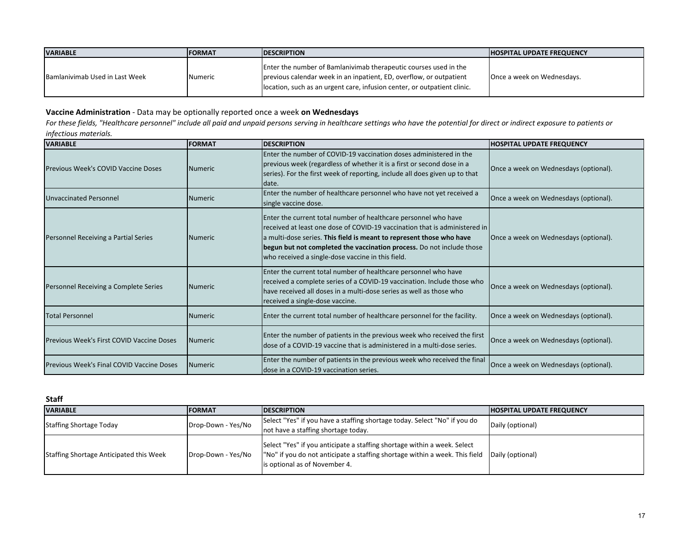| <b>VARIABLE</b>                | <b>IFORMAT</b> | <b>IDESCRIPTION</b>                                                                                                                                                                                                 | <b>HOSPITAL UPDATE FREQUENCY</b> |
|--------------------------------|----------------|---------------------------------------------------------------------------------------------------------------------------------------------------------------------------------------------------------------------|----------------------------------|
| Bamlanivimab Used in Last Week | <b>Numeric</b> | Enter the number of Bamlanivimab therapeutic courses used in the<br>previous calendar week in an inpatient, ED, overflow, or outpatient<br>location, such as an urgent care, infusion center, or outpatient clinic. | Once a week on Wednesdays.       |

## **Vaccine Administration** - Data may be optionally reported once a week **on Wednesdays**

For these fields, "Healthcare personnel" include all paid and unpaid persons serving in healthcare settings who have the potential for direct or indirect exposure to patients or *infectious materials.*

| <b>VARIABLE</b>                           | <b>FORMAT</b>   | <b>DESCRIPTION</b>                                                                                                                                                                                                                                                                                                                                  | <b>HOSPITAL UPDATE FREQUENCY</b>      |
|-------------------------------------------|-----------------|-----------------------------------------------------------------------------------------------------------------------------------------------------------------------------------------------------------------------------------------------------------------------------------------------------------------------------------------------------|---------------------------------------|
| Previous Week's COVID Vaccine Doses       | <b>INumeric</b> | Enter the number of COVID-19 vaccination doses administered in the<br>previous week (regardless of whether it is a first or second dose in a<br>series). For the first week of reporting, include all does given up to that<br>date.                                                                                                                | Once a week on Wednesdays (optional). |
| <b>Unvaccinated Personnel</b>             | <b>INumeric</b> | Enter the number of healthcare personnel who have not yet received a<br>single vaccine dose.                                                                                                                                                                                                                                                        | Once a week on Wednesdays (optional). |
| Personnel Receiving a Partial Series      | <b>INumeric</b> | Enter the current total number of healthcare personnel who have<br>received at least one dose of COVID-19 vaccination that is administered in<br>a multi-dose series. This field is meant to represent those who have<br>begun but not completed the vaccination process. Do not include those<br>who received a single-dose vaccine in this field. | Once a week on Wednesdays (optional). |
| Personnel Receiving a Complete Series     | <b>INumeric</b> | Enter the current total number of healthcare personnel who have<br>received a complete series of a COVID-19 vaccination. Include those who<br>have received all doses in a multi-dose series as well as those who<br>received a single-dose vaccine.                                                                                                | Once a week on Wednesdays (optional). |
| <b>Total Personnel</b>                    | <b>INumeric</b> | Enter the current total number of healthcare personnel for the facility.                                                                                                                                                                                                                                                                            | Once a week on Wednesdays (optional). |
| Previous Week's First COVID Vaccine Doses | <b>INumeric</b> | Enter the number of patients in the previous week who received the first<br>dose of a COVID-19 vaccine that is administered in a multi-dose series.                                                                                                                                                                                                 | Once a week on Wednesdays (optional). |
| Previous Week's Final COVID Vaccine Doses | <b>INumeric</b> | Enter the number of patients in the previous week who received the final<br>ldose in a COVID-19 vaccination series.                                                                                                                                                                                                                                 | Once a week on Wednesdays (optional). |

## **Staff**

| <b>VARIABLE</b>                         | <b>IFORMAT</b>     | <b>IDESCRIPTION</b>                                                                                                                                                                                         | <b>HOSPITAL UPDATE FREQUENCY</b> |
|-----------------------------------------|--------------------|-------------------------------------------------------------------------------------------------------------------------------------------------------------------------------------------------------------|----------------------------------|
| Staffing Shortage Today                 | Drop-Down - Yes/No | Select "Yes" if you have a staffing shortage today. Select "No" if you do                                                                                                                                   | Daily (optional)                 |
|                                         |                    | not have a staffing shortage today.                                                                                                                                                                         |                                  |
| Staffing Shortage Anticipated this Week | Drop-Down - Yes/No | Select "Yes" if you anticipate a staffing shortage within a week. Select<br> "No" if you do not anticipate a staffing shortage within a week. This field  Daily (optional)<br>is optional as of November 4. |                                  |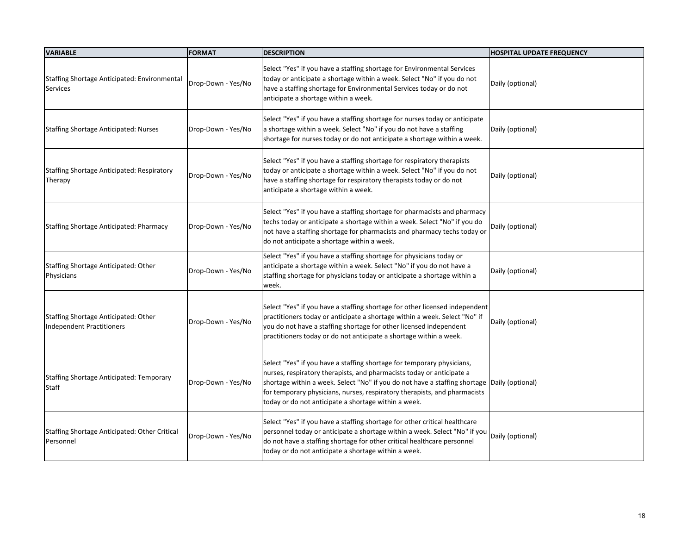| <b>VARIABLE</b>                                                   | <b>FORMAT</b>      | <b>DESCRIPTION</b>                                                                                                                                                                                                                                                                                                                                                                  | <b>HOSPITAL UPDATE FREQUENCY</b> |
|-------------------------------------------------------------------|--------------------|-------------------------------------------------------------------------------------------------------------------------------------------------------------------------------------------------------------------------------------------------------------------------------------------------------------------------------------------------------------------------------------|----------------------------------|
| Staffing Shortage Anticipated: Environmental<br>Services          | Drop-Down - Yes/No | Select "Yes" if you have a staffing shortage for Environmental Services<br>today or anticipate a shortage within a week. Select "No" if you do not<br>have a staffing shortage for Environmental Services today or do not<br>anticipate a shortage within a week.                                                                                                                   | Daily (optional)                 |
| Staffing Shortage Anticipated: Nurses                             | Drop-Down - Yes/No | Select "Yes" if you have a staffing shortage for nurses today or anticipate<br>a shortage within a week. Select "No" if you do not have a staffing<br>shortage for nurses today or do not anticipate a shortage within a week.                                                                                                                                                      | Daily (optional)                 |
| Staffing Shortage Anticipated: Respiratory<br>Therapy             | Drop-Down - Yes/No | Select "Yes" if you have a staffing shortage for respiratory therapists<br>today or anticipate a shortage within a week. Select "No" if you do not<br>have a staffing shortage for respiratory therapists today or do not<br>anticipate a shortage within a week.                                                                                                                   | Daily (optional)                 |
| Staffing Shortage Anticipated: Pharmacy                           | Drop-Down - Yes/No | Select "Yes" if you have a staffing shortage for pharmacists and pharmacy<br>techs today or anticipate a shortage within a week. Select "No" if you do<br>not have a staffing shortage for pharmacists and pharmacy techs today or<br>do not anticipate a shortage within a week.                                                                                                   | Daily (optional)                 |
| Staffing Shortage Anticipated: Other<br>Physicians                | Drop-Down - Yes/No | Select "Yes" if you have a staffing shortage for physicians today or<br>anticipate a shortage within a week. Select "No" if you do not have a<br>staffing shortage for physicians today or anticipate a shortage within a<br>week.                                                                                                                                                  | Daily (optional)                 |
| Staffing Shortage Anticipated: Other<br>Independent Practitioners | Drop-Down - Yes/No | Select "Yes" if you have a staffing shortage for other licensed independent<br>practitioners today or anticipate a shortage within a week. Select "No" if<br>you do not have a staffing shortage for other licensed independent<br>practitioners today or do not anticipate a shortage within a week.                                                                               | Daily (optional)                 |
| Staffing Shortage Anticipated: Temporary<br>Staff                 | Drop-Down - Yes/No | Select "Yes" if you have a staffing shortage for temporary physicians,<br>nurses, respiratory therapists, and pharmacists today or anticipate a<br>shortage within a week. Select "No" if you do not have a staffing shortage Daily (optional)<br>for temporary physicians, nurses, respiratory therapists, and pharmacists<br>today or do not anticipate a shortage within a week. |                                  |
| Staffing Shortage Anticipated: Other Critical<br>Personnel        | Drop-Down - Yes/No | Select "Yes" if you have a staffing shortage for other critical healthcare<br>personnel today or anticipate a shortage within a week. Select "No" if you<br>do not have a staffing shortage for other critical healthcare personnel<br>today or do not anticipate a shortage within a week.                                                                                         | Daily (optional)                 |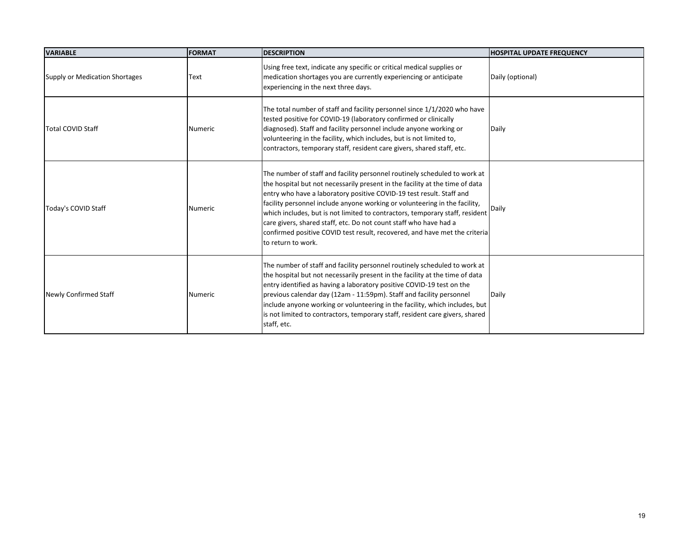| <b>VARIABLE</b>                       | <b>FORMAT</b>  | <b>DESCRIPTION</b>                                                                                                                                                                                                                                                                                                                                                                                                                                                                                                                                                       | <b>HOSPITAL UPDATE FREQUENCY</b> |
|---------------------------------------|----------------|--------------------------------------------------------------------------------------------------------------------------------------------------------------------------------------------------------------------------------------------------------------------------------------------------------------------------------------------------------------------------------------------------------------------------------------------------------------------------------------------------------------------------------------------------------------------------|----------------------------------|
| <b>Supply or Medication Shortages</b> | Text           | Using free text, indicate any specific or critical medical supplies or<br>medication shortages you are currently experiencing or anticipate<br>experiencing in the next three days.                                                                                                                                                                                                                                                                                                                                                                                      | Daily (optional)                 |
| <b>Total COVID Staff</b>              | <b>Numeric</b> | The total number of staff and facility personnel since 1/1/2020 who have<br>tested positive for COVID-19 (laboratory confirmed or clinically<br>diagnosed). Staff and facility personnel include anyone working or<br>volunteering in the facility, which includes, but is not limited to,<br>contractors, temporary staff, resident care givers, shared staff, etc.                                                                                                                                                                                                     | Daily                            |
| Today's COVID Staff                   | <b>Numeric</b> | The number of staff and facility personnel routinely scheduled to work at<br>the hospital but not necessarily present in the facility at the time of data<br>entry who have a laboratory positive COVID-19 test result. Staff and<br>facility personnel include anyone working or volunteering in the facility,<br>which includes, but is not limited to contractors, temporary staff, resident<br>care givers, shared staff, etc. Do not count staff who have had a<br>confirmed positive COVID test result, recovered, and have met the criteria<br>to return to work. | Daily                            |
| <b>Newly Confirmed Staff</b>          | Numeric        | The number of staff and facility personnel routinely scheduled to work at<br>the hospital but not necessarily present in the facility at the time of data<br>entry identified as having a laboratory positive COVID-19 test on the<br>previous calendar day (12am - 11:59pm). Staff and facility personnel<br>include anyone working or volunteering in the facility, which includes, but<br>is not limited to contractors, temporary staff, resident care givers, shared<br>staff, etc.                                                                                 | Daily                            |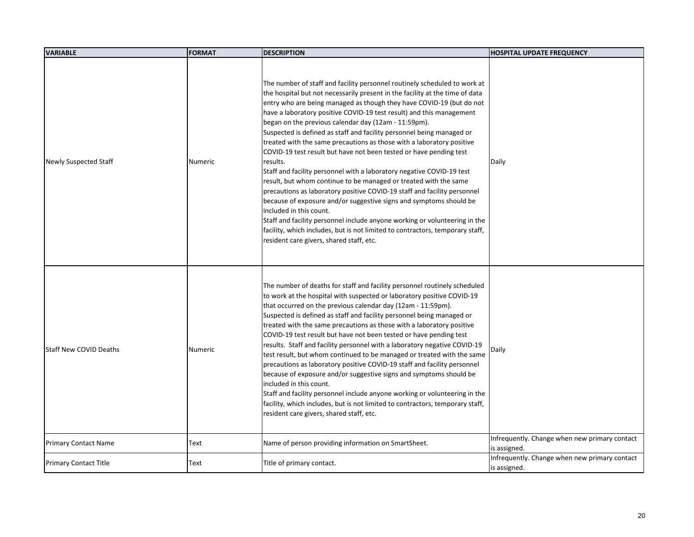| <b>VARIABLE</b>               | <b>FORMAT</b>  | <b>DESCRIPTION</b>                                                                                                                                                                                                                                                                                                                                                                                                                                                                                                                                                                                                                                                                                                                                                                                                                                                                                                                                                                                                                                                                                                                         | <b>HOSPITAL UPDATE FREQUENCY</b>                              |
|-------------------------------|----------------|--------------------------------------------------------------------------------------------------------------------------------------------------------------------------------------------------------------------------------------------------------------------------------------------------------------------------------------------------------------------------------------------------------------------------------------------------------------------------------------------------------------------------------------------------------------------------------------------------------------------------------------------------------------------------------------------------------------------------------------------------------------------------------------------------------------------------------------------------------------------------------------------------------------------------------------------------------------------------------------------------------------------------------------------------------------------------------------------------------------------------------------------|---------------------------------------------------------------|
| <b>Newly Suspected Staff</b>  | <b>Numeric</b> | The number of staff and facility personnel routinely scheduled to work at<br>the hospital but not necessarily present in the facility at the time of data<br>entry who are being managed as though they have COVID-19 (but do not<br>have a laboratory positive COVID-19 test result) and this management<br>began on the previous calendar day (12am - 11:59pm).<br>Suspected is defined as staff and facility personnel being managed or<br>treated with the same precautions as those with a laboratory positive<br>COVID-19 test result but have not been tested or have pending test<br>results.<br>Staff and facility personnel with a laboratory negative COVID-19 test<br>result, but whom continue to be managed or treated with the same<br>precautions as laboratory positive COVID-19 staff and facility personnel<br>because of exposure and/or suggestive signs and symptoms should be<br>included in this count.<br>Staff and facility personnel include anyone working or volunteering in the<br>facility, which includes, but is not limited to contractors, temporary staff,<br>resident care givers, shared staff, etc. | Daily                                                         |
| <b>Staff New COVID Deaths</b> | Numeric        | The number of deaths for staff and facility personnel routinely scheduled<br>to work at the hospital with suspected or laboratory positive COVID-19<br>that occurred on the previous calendar day (12am - 11:59pm).<br>Suspected is defined as staff and facility personnel being managed or<br>treated with the same precautions as those with a laboratory positive<br>COVID-19 test result but have not been tested or have pending test<br>results. Staff and facility personnel with a laboratory negative COVID-19<br>test result, but whom continued to be managed or treated with the same<br>precautions as laboratory positive COVID-19 staff and facility personnel<br>because of exposure and/or suggestive signs and symptoms should be<br>included in this count.<br>Staff and facility personnel include anyone working or volunteering in the<br>facility, which includes, but is not limited to contractors, temporary staff,<br>resident care givers, shared staff, etc.                                                                                                                                                 | Daily                                                         |
| <b>Primary Contact Name</b>   | Text           | Name of person providing information on SmartSheet.                                                                                                                                                                                                                                                                                                                                                                                                                                                                                                                                                                                                                                                                                                                                                                                                                                                                                                                                                                                                                                                                                        | Infrequently. Change when new primary contact<br>is assigned. |
| <b>Primary Contact Title</b>  | Text           | Title of primary contact.                                                                                                                                                                                                                                                                                                                                                                                                                                                                                                                                                                                                                                                                                                                                                                                                                                                                                                                                                                                                                                                                                                                  | Infrequently. Change when new primary contact<br>is assigned. |